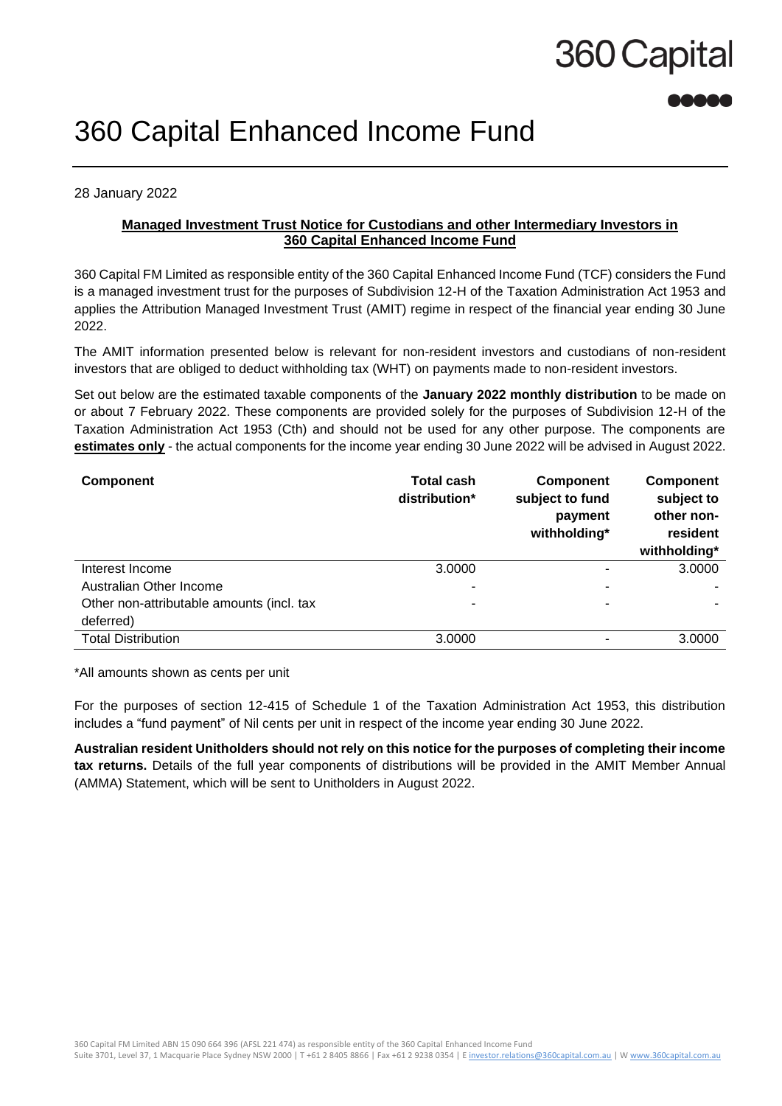# 360 Capital

### 360 Capital Enhanced Income Fund

28 January 2022

### **Managed Investment Trust Notice for Custodians and other Intermediary Investors in 360 Capital Enhanced Income Fund**

360 Capital FM Limited as responsible entity of the 360 Capital Enhanced Income Fund (TCF) considers the Fund is a managed investment trust for the purposes of Subdivision 12-H of the Taxation Administration Act 1953 and applies the Attribution Managed Investment Trust (AMIT) regime in respect of the financial year ending 30 June 2022.

The AMIT information presented below is relevant for non-resident investors and custodians of non-resident investors that are obliged to deduct withholding tax (WHT) on payments made to non-resident investors.

Set out below are the estimated taxable components of the **January 2022 monthly distribution** to be made on or about 7 February 2022. These components are provided solely for the purposes of Subdivision 12-H of the Taxation Administration Act 1953 (Cth) and should not be used for any other purpose. The components are **estimates only** - the actual components for the income year ending 30 June 2022 will be advised in August 2022.

| <b>Component</b>                          | <b>Total cash</b><br>distribution* | <b>Component</b><br>subject to fund<br>payment<br>withholding* | <b>Component</b><br>subject to<br>other non-<br>resident<br>withholding* |
|-------------------------------------------|------------------------------------|----------------------------------------------------------------|--------------------------------------------------------------------------|
| Interest Income                           | 3.0000                             |                                                                | 3.0000                                                                   |
| Australian Other Income                   |                                    |                                                                |                                                                          |
| Other non-attributable amounts (incl. tax | ۰                                  | $\overline{\phantom{0}}$                                       |                                                                          |
| deferred)                                 |                                    |                                                                |                                                                          |
| <b>Total Distribution</b>                 | 3.0000                             |                                                                | 3.0000                                                                   |

\*All amounts shown as cents per unit

For the purposes of section 12-415 of Schedule 1 of the Taxation Administration Act 1953, this distribution includes a "fund payment" of Nil cents per unit in respect of the income year ending 30 June 2022.

**Australian resident Unitholders should not rely on this notice for the purposes of completing their income tax returns.** Details of the full year components of distributions will be provided in the AMIT Member Annual (AMMA) Statement, which will be sent to Unitholders in August 2022.